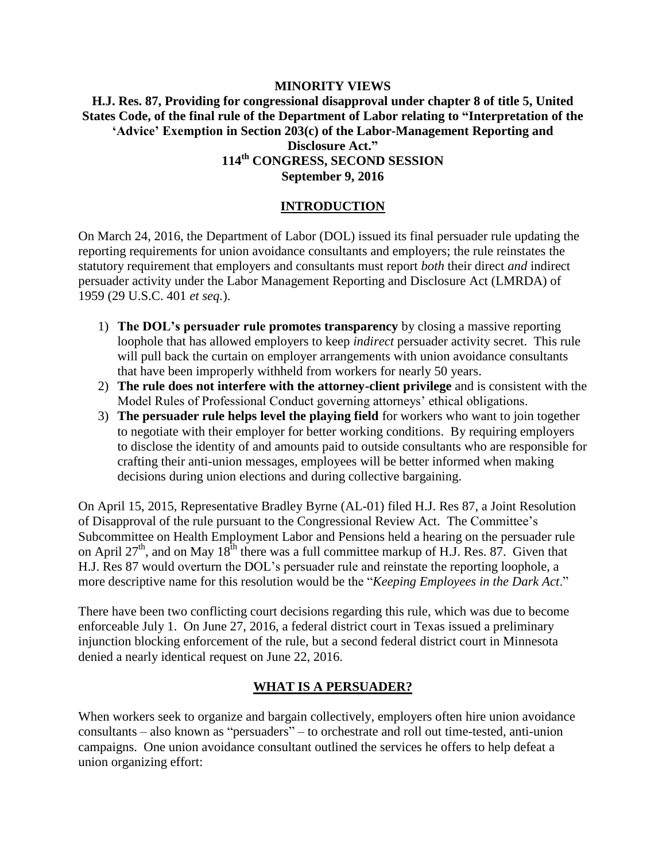#### **MINORITY VIEWS H.J. Res. 87, Providing for congressional disapproval under chapter 8 of title 5, United States Code, of the final rule of the Department of Labor relating to "Interpretation of the 'Advice' Exemption in Section 203(c) of the Labor-Management Reporting and Disclosure Act." 114th CONGRESS, SECOND SESSION September 9, 2016**

# **INTRODUCTION**

On March 24, 2016, the Department of Labor (DOL) issued its final persuader rule updating the reporting requirements for union avoidance consultants and employers; the rule reinstates the statutory requirement that employers and consultants must report *both* their direct *and* indirect persuader activity under the Labor Management Reporting and Disclosure Act (LMRDA) of 1959 (29 U.S.C. 401 *et seq.*).

- 1) **The DOL's persuader rule promotes transparency** by closing a massive reporting loophole that has allowed employers to keep *indirect* persuader activity secret. This rule will pull back the curtain on employer arrangements with union avoidance consultants that have been improperly withheld from workers for nearly 50 years.
- 2) **The rule does not interfere with the attorney-client privilege** and is consistent with the Model Rules of Professional Conduct governing attorneys' ethical obligations.
- 3) **The persuader rule helps level the playing field** for workers who want to join together to negotiate with their employer for better working conditions. By requiring employers to disclose the identity of and amounts paid to outside consultants who are responsible for crafting their anti-union messages, employees will be better informed when making decisions during union elections and during collective bargaining.

On April 15, 2015, Representative Bradley Byrne (AL-01) filed H.J. Res 87, a Joint Resolution of Disapproval of the rule pursuant to the Congressional Review Act. The Committee's Subcommittee on Health Employment Labor and Pensions held a hearing on the persuader rule on April 27<sup>th</sup>, and on May 18<sup>th</sup> there was a full committee markup of H.J. Res. 87. Given that H.J. Res 87 would overturn the DOL's persuader rule and reinstate the reporting loophole, a more descriptive name for this resolution would be the "*Keeping Employees in the Dark Act*."

There have been two conflicting court decisions regarding this rule, which was due to become enforceable July 1. On June 27, 2016, a federal district court in Texas issued a preliminary injunction blocking enforcement of the rule, but a second federal district court in Minnesota denied a nearly identical request on June 22, 2016.

#### **WHAT IS A PERSUADER?**

When workers seek to organize and bargain collectively, employers often hire union avoidance consultants – also known as "persuaders" – to orchestrate and roll out time-tested, anti-union campaigns. One union avoidance consultant outlined the services he offers to help defeat a union organizing effort: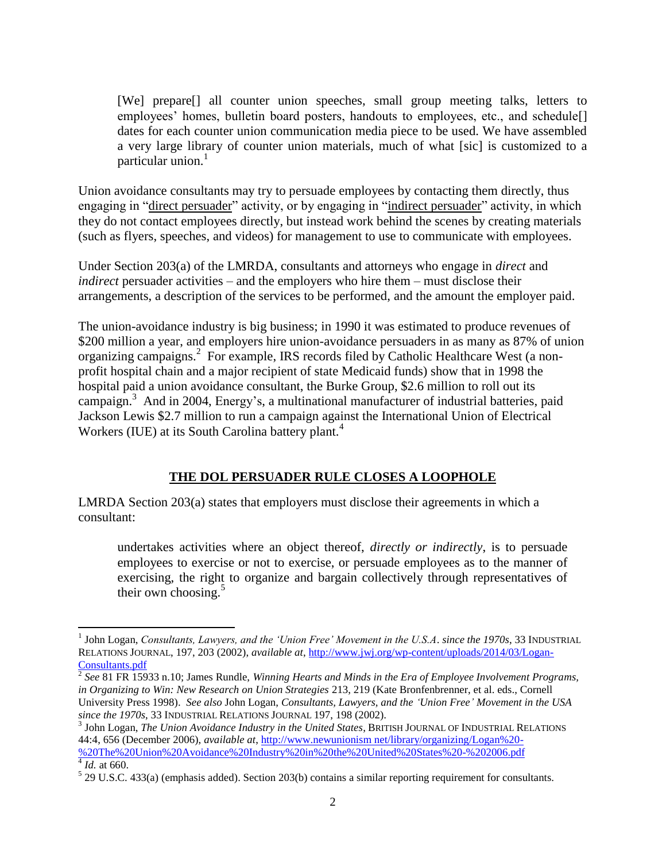[We] prepare[] all counter union speeches, small group meeting talks, letters to employees' homes, bulletin board posters, handouts to employees, etc., and schedule<sup>[]</sup> dates for each counter union communication media piece to be used. We have assembled a very large library of counter union materials, much of what [sic] is customized to a particular union. $<sup>1</sup>$ </sup>

Union avoidance consultants may try to persuade employees by contacting them directly, thus engaging in "direct persuader" activity, or by engaging in "indirect persuader" activity, in which they do not contact employees directly, but instead work behind the scenes by creating materials (such as flyers, speeches, and videos) for management to use to communicate with employees.

Under Section 203(a) of the LMRDA, consultants and attorneys who engage in *direct* and *indirect* persuader activities – and the employers who hire them – must disclose their arrangements, a description of the services to be performed, and the amount the employer paid.

The union-avoidance industry is big business; in 1990 it was estimated to produce revenues of \$200 million a year, and employers hire union-avoidance persuaders in as many as 87% of union organizing campaigns.<sup>2</sup> For example, IRS records filed by Catholic Healthcare West (a nonprofit hospital chain and a major recipient of state Medicaid funds) show that in 1998 the hospital paid a union avoidance consultant, the Burke Group, \$2.6 million to roll out its campaign.<sup>3</sup> And in 2004, Energy's, a multinational manufacturer of industrial batteries, paid Jackson Lewis \$2.7 million to run a campaign against the International Union of Electrical Workers (IUE) at its South Carolina battery plant.<sup>4</sup>

## **THE DOL PERSUADER RULE CLOSES A LOOPHOLE**

LMRDA Section 203(a) states that employers must disclose their agreements in which a consultant:

undertakes activities where an object thereof, *directly or indirectly*, is to persuade employees to exercise or not to exercise, or persuade employees as to the manner of exercising, the right to organize and bargain collectively through representatives of their own choosing. $5$ 

 $\overline{a}$ 1 John Logan, *Consultants, Lawyers, and the 'Union Free' Movement in the U.S.A*. *since the 1970s*, 33 INDUSTRIAL RELATIONS JOURNAL, 197, 203 (2002), *available at*, http://www.jwj.org/wp-content/uploads/2014/03/Logan-

Consultants.pdf 2 *See* 81 FR 15933 n.10; James Rundle, *Winning Hearts and Minds in the Era of Employee Involvement Programs, in Organizing to Win: New Research on Union Strategies* 213, 219 (Kate Bronfenbrenner, et al. eds., Cornell University Press 1998). *See also* John Logan, *Consultants, Lawyers, and the 'Union Free' Movement in the USA since the 1970s*, 33 INDUSTRIAL RELATIONS JOURNAL 197, 198 (2002).

<sup>&</sup>lt;sup>3</sup> John Logan, *The Union Avoidance Industry in the United States*, BRITISH JOURNAL OF INDUSTRIAL RELATIONS 44:4, 656 (December 2006), *available at*, http://www.newunionism net/library/organizing/Logan%20- %20The%20Union%20Avoidance%20Industry%20in%20the%20United%20States%20-%202006.pdf

<sup>4</sup> *Id.* at 660.

 $5$  29 U.S.C. 433(a) (emphasis added). Section 203(b) contains a similar reporting requirement for consultants.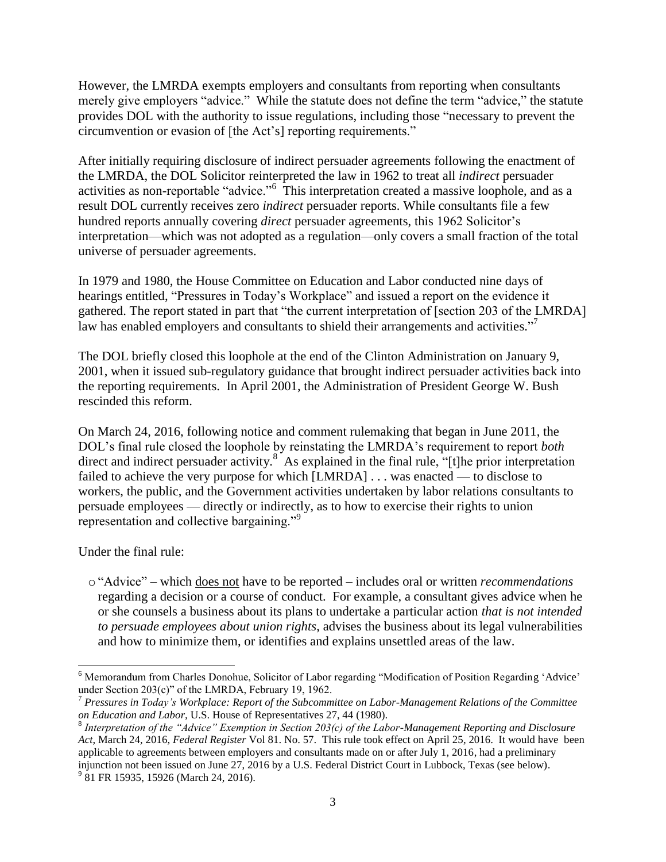However, the LMRDA exempts employers and consultants from reporting when consultants merely give employers "advice." While the statute does not define the term "advice," the statute provides DOL with the authority to issue regulations, including those "necessary to prevent the circumvention or evasion of [the Act's] reporting requirements."

After initially requiring disclosure of indirect persuader agreements following the enactment of the LMRDA, the DOL Solicitor reinterpreted the law in 1962 to treat all *indirect* persuader activities as non-reportable "advice."<sup>6</sup> This interpretation created a massive loophole, and as a result DOL currently receives zero *indirect* persuader reports. While consultants file a few hundred reports annually covering *direct* persuader agreements, this 1962 Solicitor's interpretation—which was not adopted as a regulation—only covers a small fraction of the total universe of persuader agreements.

In 1979 and 1980, the House Committee on Education and Labor conducted nine days of hearings entitled, "Pressures in Today's Workplace" and issued a report on the evidence it gathered. The report stated in part that "the current interpretation of [section 203 of the LMRDA] law has enabled employers and consultants to shield their arrangements and activities."<sup>7</sup>

The DOL briefly closed this loophole at the end of the Clinton Administration on January 9, 2001, when it issued sub-regulatory guidance that brought indirect persuader activities back into the reporting requirements. In April 2001, the Administration of President George W. Bush rescinded this reform.

On March 24, 2016, following notice and comment rulemaking that began in June 2011, the DOL's final rule closed the loophole by reinstating the LMRDA's requirement to report *both* direct and indirect persuader activity.<sup>8</sup> As explained in the final rule, "[t]he prior interpretation failed to achieve the very purpose for which [LMRDA] . . . was enacted — to disclose to workers, the public, and the Government activities undertaken by labor relations consultants to persuade employees — directly or indirectly, as to how to exercise their rights to union representation and collective bargaining."<sup>9</sup>

Under the final rule:

o"Advice" – which does not have to be reported – includes oral or written *recommendations* regarding a decision or a course of conduct. For example, a consultant gives advice when he or she counsels a business about its plans to undertake a particular action *that is not intended to persuade employees about union rights*, advises the business about its legal vulnerabilities and how to minimize them, or identifies and explains unsettled areas of the law.

 $\overline{\phantom{a}}$ <sup>6</sup> Memorandum from Charles Donohue, Solicitor of Labor regarding "Modification of Position Regarding 'Advice' under Section 203(c)" of the LMRDA, February 19, 1962.

<sup>7</sup> *Pressures in Today's Workplace: Report of the Subcommittee on Labor-Management Relations of the Committee on Education and Labor,* U.S. House of Representatives 27, 44 (1980).

<sup>8</sup> *Interpretation of the "Advice" Exemption in Section 203(c) of the Labor-Management Reporting and Disclosure Act*, March 24, 2016, *Federal Register* Vol 81. No. 57. This rule took effect on April 25, 2016. It would have been applicable to agreements between employers and consultants made on or after July 1, 2016, had a preliminary injunction not been issued on June 27, 2016 by a U.S. Federal District Court in Lubbock, Texas (see below).

<sup>&</sup>lt;sup>9</sup> 81 FR 15935, 15926 (March 24, 2016).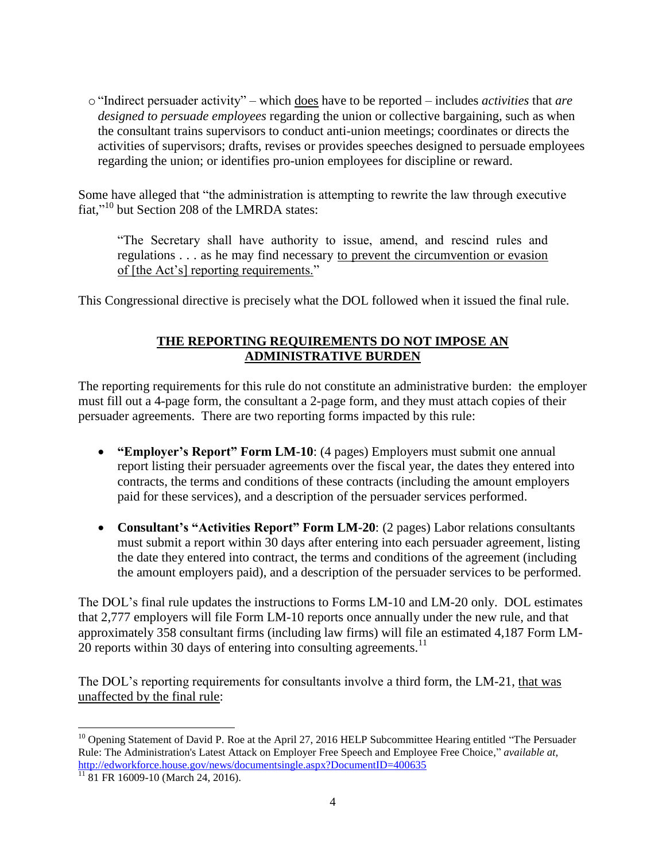o"Indirect persuader activity" – which does have to be reported – includes *activities* that *are designed to persuade employees* regarding the union or collective bargaining, such as when the consultant trains supervisors to conduct anti-union meetings; coordinates or directs the activities of supervisors; drafts, revises or provides speeches designed to persuade employees regarding the union; or identifies pro-union employees for discipline or reward.

Some have alleged that "the administration is attempting to rewrite the law through executive fiat,"<sup>10</sup> but Section 208 of the LMRDA states:

"The Secretary shall have authority to issue, amend, and rescind rules and regulations . . . as he may find necessary to prevent the circumvention or evasion of [the Act's] reporting requirements."

This Congressional directive is precisely what the DOL followed when it issued the final rule.

# **THE REPORTING REQUIREMENTS DO NOT IMPOSE AN ADMINISTRATIVE BURDEN**

The reporting requirements for this rule do not constitute an administrative burden: the employer must fill out a 4-page form, the consultant a 2-page form, and they must attach copies of their persuader agreements. There are two reporting forms impacted by this rule:

- **"Employer's Report" Form LM-10**: (4 pages) Employers must submit one annual report listing their persuader agreements over the fiscal year, the dates they entered into contracts, the terms and conditions of these contracts (including the amount employers paid for these services), and a description of the persuader services performed.
- **Consultant's "Activities Report" Form LM-20**: (2 pages) Labor relations consultants must submit a report within 30 days after entering into each persuader agreement, listing the date they entered into contract, the terms and conditions of the agreement (including the amount employers paid), and a description of the persuader services to be performed.

The DOL's final rule updates the instructions to Forms LM-10 and LM-20 only. DOL estimates that 2,777 employers will file Form LM-10 reports once annually under the new rule, and that approximately 358 consultant firms (including law firms) will file an estimated 4,187 Form LM- $20$  reports within 30 days of entering into consulting agreements.<sup>11</sup>

The DOL's reporting requirements for consultants involve a third form, the LM-21, that was unaffected by the final rule:

 $\overline{\phantom{a}}$  $10$  Opening Statement of David P. Roe at the April 27, 2016 HELP Subcommittee Hearing entitled "The Persuader" Rule: The Administration's Latest Attack on Employer Free Speech and Employee Free Choice," *available at,* http://edworkforce.house.gov/news/documentsingle.aspx?DocumentID=400635

 $11\overline{81}$  FR 16009-10 (March 24, 2016).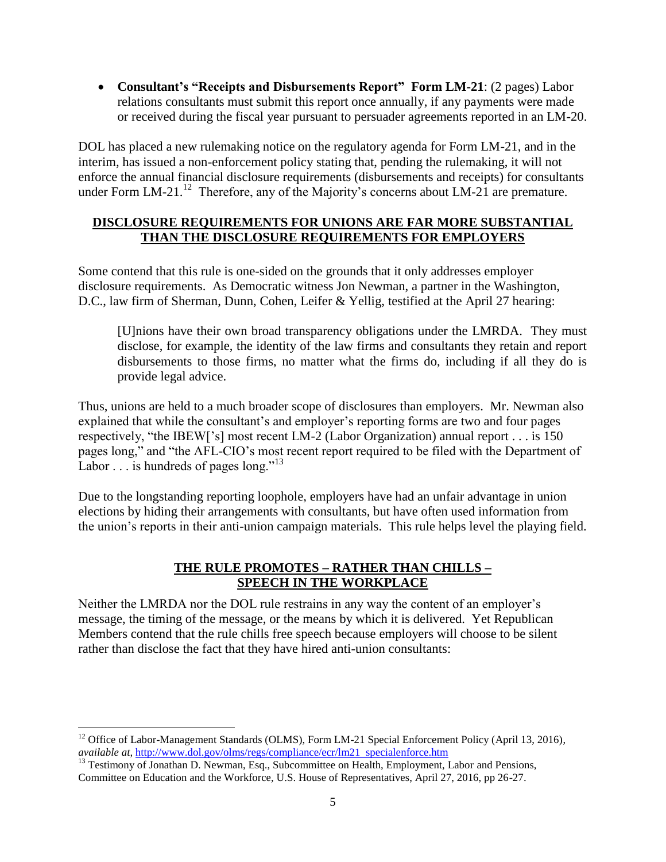**Consultant's "Receipts and Disbursements Report" Form LM-21**: (2 pages) Labor relations consultants must submit this report once annually, if any payments were made or received during the fiscal year pursuant to persuader agreements reported in an LM-20.

DOL has placed a new rulemaking notice on the regulatory agenda for Form LM-21, and in the interim, has issued a non-enforcement policy stating that, pending the rulemaking, it will not enforce the annual financial disclosure requirements (disbursements and receipts) for consultants under Form LM-21.<sup>12</sup> Therefore, any of the Majority's concerns about LM-21 are premature.

## **DISCLOSURE REQUIREMENTS FOR UNIONS ARE FAR MORE SUBSTANTIAL THAN THE DISCLOSURE REQUIREMENTS FOR EMPLOYERS**

Some contend that this rule is one-sided on the grounds that it only addresses employer disclosure requirements. As Democratic witness Jon Newman, a partner in the Washington, D.C., law firm of Sherman, Dunn, Cohen, Leifer & Yellig, testified at the April 27 hearing:

[U]nions have their own broad transparency obligations under the LMRDA. They must disclose, for example, the identity of the law firms and consultants they retain and report disbursements to those firms, no matter what the firms do, including if all they do is provide legal advice.

Thus, unions are held to a much broader scope of disclosures than employers. Mr. Newman also explained that while the consultant's and employer's reporting forms are two and four pages respectively, "the IBEW['s] most recent LM-2 (Labor Organization) annual report . . . is 150 pages long," and "the AFL-CIO's most recent report required to be filed with the Department of Labor  $\ldots$  is hundreds of pages long."<sup>13</sup>

Due to the longstanding reporting loophole, employers have had an unfair advantage in union elections by hiding their arrangements with consultants, but have often used information from the union's reports in their anti-union campaign materials. This rule helps level the playing field.

## **THE RULE PROMOTES – RATHER THAN CHILLS – SPEECH IN THE WORKPLACE**

Neither the LMRDA nor the DOL rule restrains in any way the content of an employer's message, the timing of the message, or the means by which it is delivered. Yet Republican Members contend that the rule chills free speech because employers will choose to be silent rather than disclose the fact that they have hired anti-union consultants:

 $\overline{\phantom{a}}$ 

<sup>&</sup>lt;sup>12</sup> Office of Labor-Management Standards (OLMS), Form LM-21 Special Enforcement Policy (April 13, 2016), *available at,* http://www.dol.gov/olms/regs/compliance/ecr/lm21 specialenforce.htm

<sup>&</sup>lt;sup>13</sup> Testimony of Jonathan D. Newman, Esq., Subcommittee on Health, Employment, Labor and Pensions, Committee on Education and the Workforce, U.S. House of Representatives, April 27, 2016, pp 26-27.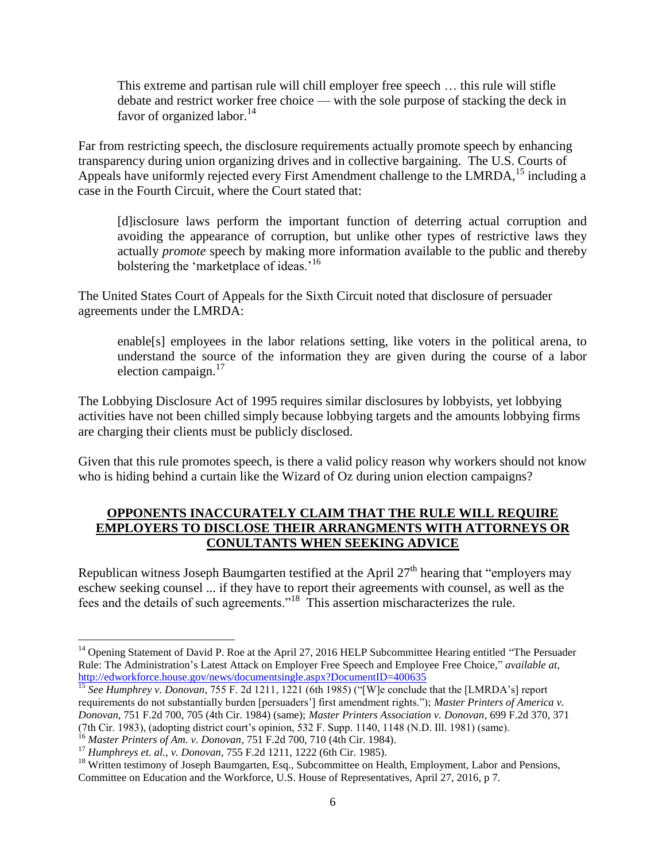This extreme and partisan rule will chill employer free speech … this rule will stifle debate and restrict worker free choice — with the sole purpose of stacking the deck in favor of organized labor. $14$ 

Far from restricting speech, the disclosure requirements actually promote speech by enhancing transparency during union organizing drives and in collective bargaining. The U.S. Courts of Appeals have uniformly rejected every First Amendment challenge to the LMRDA,<sup>15</sup> including a case in the Fourth Circuit, where the Court stated that:

[d]isclosure laws perform the important function of deterring actual corruption and avoiding the appearance of corruption, but unlike other types of restrictive laws they actually *promote* speech by making more information available to the public and thereby bolstering the 'marketplace of ideas.<sup>'16</sup>

The United States Court of Appeals for the Sixth Circuit noted that disclosure of persuader agreements under the LMRDA:

enable[s] employees in the labor relations setting, like voters in the political arena, to understand the source of the information they are given during the course of a labor election campaign.<sup>17</sup>

The Lobbying Disclosure Act of 1995 requires similar disclosures by lobbyists, yet lobbying activities have not been chilled simply because lobbying targets and the amounts lobbying firms are charging their clients must be publicly disclosed.

Given that this rule promotes speech, is there a valid policy reason why workers should not know who is hiding behind a curtain like the Wizard of Oz during union election campaigns?

## **OPPONENTS INACCURATELY CLAIM THAT THE RULE WILL REQUIRE EMPLOYERS TO DISCLOSE THEIR ARRANGMENTS WITH ATTORNEYS OR CONULTANTS WHEN SEEKING ADVICE**

Republican witness Joseph Baumgarten testified at the April 27<sup>th</sup> hearing that "employers may eschew seeking counsel ... if they have to report their agreements with counsel, as well as the fees and the details of such agreements."<sup>18</sup> This assertion mischaracterizes the rule.

 $\overline{\phantom{a}}$ <sup>14</sup> Opening Statement of David P. Roe at the April 27, 2016 HELP Subcommittee Hearing entitled "The Persuader Rule: The Administration's Latest Attack on Employer Free Speech and Employee Free Choice," *available at,* http://edworkforce.house.gov/news/documentsingle.aspx?DocumentID=400635

<sup>15</sup> *See Humphrey v. Donovan*, 755 F. 2d 1211, 1221 (6th 1985) ("[W]e conclude that the [LMRDA's] report requirements do not substantially burden [persuaders'] first amendment rights."); *Master Printers of America v. Donovan*, 751 F.2d 700, 705 (4th Cir. 1984) (same); *Master Printers Association v. Donovan*, 699 F.2d 370, 371 (7th Cir. 1983), (adopting district court's opinion, 532 F. Supp. 1140, 1148 (N.D. Ill. 1981) (same).

<sup>16</sup> *Master Printers of Am. v. Donovan*, 751 F.2d 700, 710 (4th Cir. 1984).

<sup>17</sup> *Humphreys et. al.*, *v. Donovan*, 755 F.2d 1211, 1222 (6th Cir. 1985).

<sup>&</sup>lt;sup>18</sup> Written testimony of Joseph Baumgarten, Esq., Subcommittee on Health, Employment, Labor and Pensions, Committee on Education and the Workforce, U.S. House of Representatives, April 27, 2016, p 7.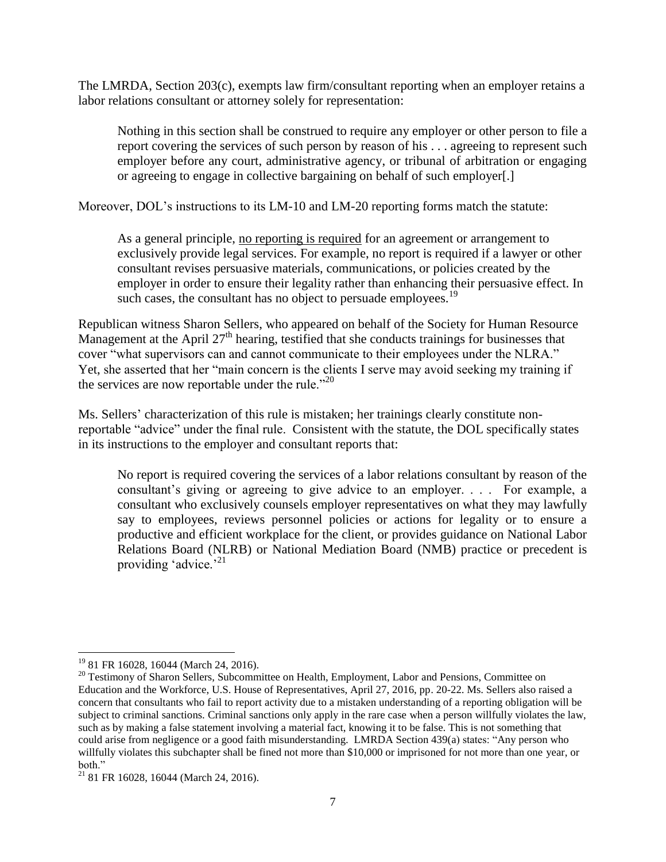The LMRDA, Section 203(c), exempts law firm/consultant reporting when an employer retains a labor relations consultant or attorney solely for representation:

Nothing in this section shall be construed to require any employer or other person to file a report covering the services of such person by reason of his . . . agreeing to represent such employer before any court, administrative agency, or tribunal of arbitration or engaging or agreeing to engage in collective bargaining on behalf of such employer[.]

Moreover, DOL's instructions to its LM-10 and LM-20 reporting forms match the statute:

As a general principle, no reporting is required for an agreement or arrangement to exclusively provide legal services. For example, no report is required if a lawyer or other consultant revises persuasive materials, communications, or policies created by the employer in order to ensure their legality rather than enhancing their persuasive effect. In such cases, the consultant has no object to persuade employees.<sup>19</sup>

Republican witness Sharon Sellers, who appeared on behalf of the Society for Human Resource Management at the April  $27<sup>th</sup>$  hearing, testified that she conducts trainings for businesses that cover "what supervisors can and cannot communicate to their employees under the NLRA." Yet, she asserted that her "main concern is the clients I serve may avoid seeking my training if the services are now reportable under the rule. $^{20}$ 

Ms. Sellers' characterization of this rule is mistaken; her trainings clearly constitute nonreportable "advice" under the final rule. Consistent with the statute, the DOL specifically states in its instructions to the employer and consultant reports that:

No report is required covering the services of a labor relations consultant by reason of the consultant's giving or agreeing to give advice to an employer. . . . For example, a consultant who exclusively counsels employer representatives on what they may lawfully say to employees, reviews personnel policies or actions for legality or to ensure a productive and efficient workplace for the client, or provides guidance on National Labor Relations Board (NLRB) or National Mediation Board (NMB) practice or precedent is providing 'advice.'<sup>21</sup>

 $\overline{\phantom{a}}$ <sup>19</sup> 81 FR 16028, 16044 (March 24, 2016).

<sup>&</sup>lt;sup>20</sup> Testimony of Sharon Sellers, Subcommittee on Health, Employment, Labor and Pensions, Committee on Education and the Workforce, U.S. House of Representatives, April 27, 2016, pp. 20-22. Ms. Sellers also raised a concern that consultants who fail to report activity due to a mistaken understanding of a reporting obligation will be subject to criminal sanctions. Criminal sanctions only apply in the rare case when a person willfully violates the law, such as by making a false statement involving a material fact, knowing it to be false. This is not something that could arise from negligence or a good faith misunderstanding. LMRDA Section 439(a) states: "Any person who willfully violates this subchapter shall be fined not more than \$10,000 or imprisoned for not more than one year, or both."

 $21$  81 FR 16028, 16044 (March 24, 2016).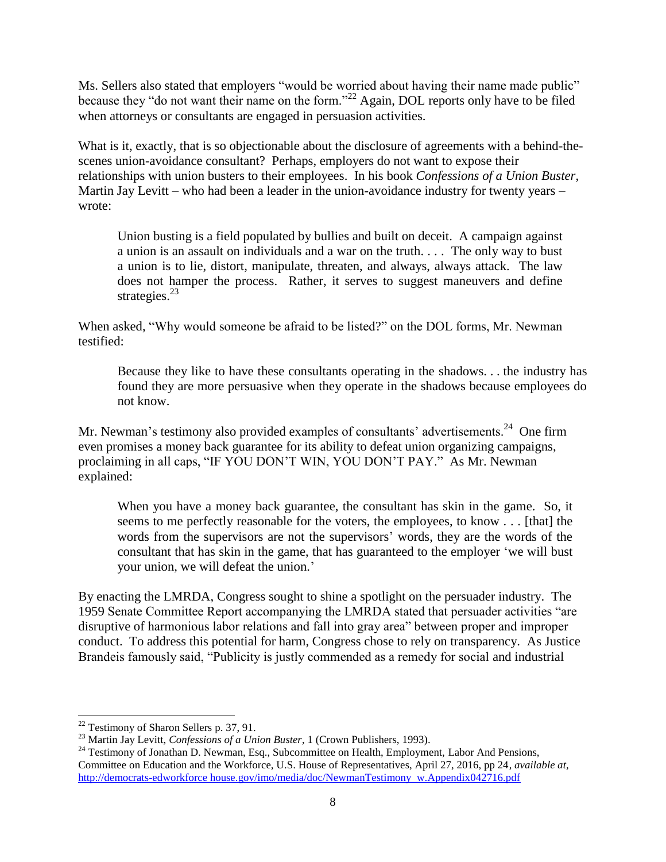Ms. Sellers also stated that employers "would be worried about having their name made public" because they "do not want their name on the form."<sup>22</sup> Again, DOL reports only have to be filed when attorneys or consultants are engaged in persuasion activities.

What is it, exactly, that is so objectionable about the disclosure of agreements with a behind-thescenes union-avoidance consultant? Perhaps, employers do not want to expose their relationships with union busters to their employees. In his book *Confessions of a Union Buster*, Martin Jay Levitt – who had been a leader in the union-avoidance industry for twenty years – wrote:

Union busting is a field populated by bullies and built on deceit. A campaign against a union is an assault on individuals and a war on the truth. . . . The only way to bust a union is to lie, distort, manipulate, threaten, and always, always attack. The law does not hamper the process. Rather, it serves to suggest maneuvers and define strategies. $^{23}$ 

When asked, "Why would someone be afraid to be listed?" on the DOL forms, Mr. Newman testified:

Because they like to have these consultants operating in the shadows. . . the industry has found they are more persuasive when they operate in the shadows because employees do not know.

Mr. Newman's testimony also provided examples of consultants' advertisements.<sup>24</sup> One firm even promises a money back guarantee for its ability to defeat union organizing campaigns, proclaiming in all caps, "IF YOU DON'T WIN, YOU DON'T PAY." As Mr. Newman explained:

When you have a money back guarantee, the consultant has skin in the game. So, it seems to me perfectly reasonable for the voters, the employees, to know . . . [that] the words from the supervisors are not the supervisors' words, they are the words of the consultant that has skin in the game, that has guaranteed to the employer 'we will bust your union, we will defeat the union.'

By enacting the LMRDA, Congress sought to shine a spotlight on the persuader industry. The 1959 Senate Committee Report accompanying the LMRDA stated that persuader activities "are disruptive of harmonious labor relations and fall into gray area" between proper and improper conduct. To address this potential for harm, Congress chose to rely on transparency. As Justice Brandeis famously said, "Publicity is justly commended as a remedy for social and industrial

 $\overline{a}$ 

 $22$  Testimony of Sharon Sellers p. 37, 91.

<sup>23</sup> Martin Jay Levitt, *Confessions of a Union Buster*, 1 (Crown Publishers, 1993).

<sup>&</sup>lt;sup>24</sup> Testimony of Jonathan D. Newman, Esq., Subcommittee on Health, Employment, Labor And Pensions, Committee on Education and the Workforce, U.S. House of Representatives, April 27, 2016, pp 24, *available at,*  http://democrats-edworkforce house.gov/imo/media/doc/NewmanTestimony w.Appendix042716.pdf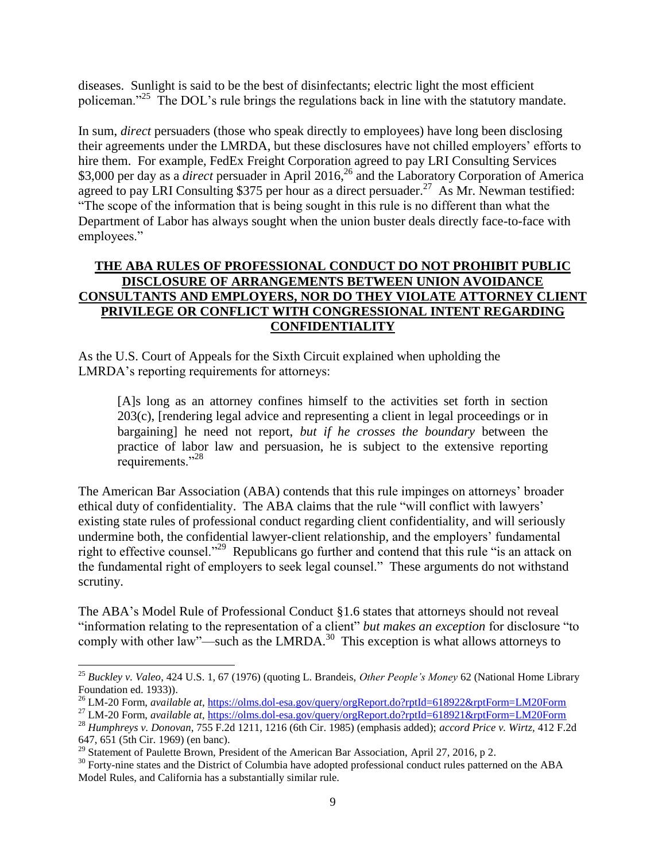diseases. Sunlight is said to be the best of disinfectants; electric light the most efficient policeman."<sup>25</sup> The DOL's rule brings the regulations back in line with the statutory mandate.

In sum, *direct* persuaders (those who speak directly to employees) have long been disclosing their agreements under the LMRDA, but these disclosures have not chilled employers' efforts to hire them. For example, FedEx Freight Corporation agreed to pay LRI Consulting Services \$3,000 per day as a *direct* persuader in April 2016,<sup>26</sup> and the Laboratory Corporation of America agreed to pay LRI Consulting \$375 per hour as a direct persuader.<sup>27</sup> As Mr. Newman testified: "The scope of the information that is being sought in this rule is no different than what the Department of Labor has always sought when the union buster deals directly face-to-face with employees."

## **THE ABA RULES OF PROFESSIONAL CONDUCT DO NOT PROHIBIT PUBLIC DISCLOSURE OF ARRANGEMENTS BETWEEN UNION AVOIDANCE CONSULTANTS AND EMPLOYERS, NOR DO THEY VIOLATE ATTORNEY CLIENT PRIVILEGE OR CONFLICT WITH CONGRESSIONAL INTENT REGARDING CONFIDENTIALITY**

As the U.S. Court of Appeals for the Sixth Circuit explained when upholding the LMRDA's reporting requirements for attorneys:

[A]s long as an attorney confines himself to the activities set forth in section 203(c), [rendering legal advice and representing a client in legal proceedings or in bargaining] he need not report, *but if he crosses the boundary* between the practice of labor law and persuasion, he is subject to the extensive reporting requirements."<sup>28</sup>

The American Bar Association (ABA) contends that this rule impinges on attorneys' broader ethical duty of confidentiality. The ABA claims that the rule "will conflict with lawyers' existing state rules of professional conduct regarding client confidentiality, and will seriously undermine both, the confidential lawyer-client relationship, and the employers' fundamental right to effective counsel."<sup>29</sup> Republicans go further and contend that this rule "is an attack on the fundamental right of employers to seek legal counsel." These arguments do not withstand scrutiny.

The ABA's Model Rule of Professional Conduct §1.6 states that attorneys should not reveal "information relating to the representation of a client" *but makes an exception* for disclosure "to comply with other law"—such as the LMRDA. $30$  This exception is what allows attorneys to

 $\overline{\phantom{a}}$ 

<sup>25</sup> *Buckley v. Valeo*, 424 U.S. 1, 67 (1976) (quoting L. Brandeis, *Other People's Money* 62 (National Home Library Foundation ed. 1933)).

<sup>&</sup>lt;sup>26</sup> LM-20 Form, *available at*, https://olms.dol-esa.gov/query/orgReport.do?rptId=618922&rptForm=LM20Form

<sup>27</sup> LM-20 Form, *available at,* https://olms.dol-esa.gov/query/orgReport.do?rptId=618921&rptForm=LM20Form

<sup>28</sup> *Humphreys v. Donovan*, 755 F.2d 1211, 1216 (6th Cir. 1985) (emphasis added); *accord Price v. Wirtz,* 412 F.2d 647, 651 (5th Cir. 1969) (en banc).

<sup>&</sup>lt;sup>29</sup> Statement of Paulette Brown, President of the American Bar Association, April 27, 2016, p 2.

<sup>&</sup>lt;sup>30</sup> Forty-nine states and the District of Columbia have adopted professional conduct rules patterned on the ABA Model Rules, and California has a substantially similar rule.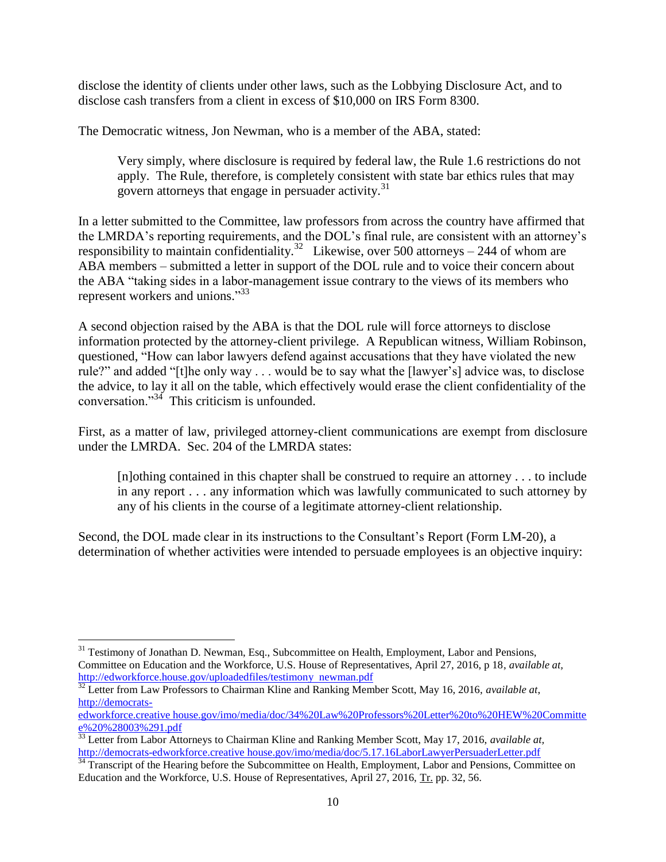disclose the identity of clients under other laws, such as the Lobbying Disclosure Act, and to disclose cash transfers from a client in excess of \$10,000 on IRS Form 8300.

The Democratic witness, Jon Newman, who is a member of the ABA, stated:

Very simply, where disclosure is required by federal law, the Rule 1.6 restrictions do not apply. The Rule, therefore, is completely consistent with state bar ethics rules that may govern attorneys that engage in persuader activity.<sup>31</sup>

In a letter submitted to the Committee, law professors from across the country have affirmed that the LMRDA's reporting requirements, and the DOL's final rule, are consistent with an attorney's responsibility to maintain confidentiality.<sup>32</sup> Likewise, over 500 attorneys – 244 of whom are ABA members – submitted a letter in support of the DOL rule and to voice their concern about the ABA "taking sides in a labor-management issue contrary to the views of its members who represent workers and unions."<sup>33</sup>

A second objection raised by the ABA is that the DOL rule will force attorneys to disclose information protected by the attorney-client privilege. A Republican witness, William Robinson, questioned, "How can labor lawyers defend against accusations that they have violated the new rule?" and added "[t]he only way . . . would be to say what the [lawyer's] advice was, to disclose the advice, to lay it all on the table, which effectively would erase the client confidentiality of the conversation."<sup>34</sup> This criticism is unfounded.

First, as a matter of law, privileged attorney-client communications are exempt from disclosure under the LMRDA. Sec. 204 of the LMRDA states:

[n]othing contained in this chapter shall be construed to require an attorney . . . to include in any report . . . any information which was lawfully communicated to such attorney by any of his clients in the course of a legitimate attorney-client relationship.

Second, the DOL made clear in its instructions to the Consultant's Report (Form LM-20), a determination of whether activities were intended to persuade employees is an objective inquiry:

 $\overline{\phantom{a}}$ <sup>31</sup> Testimony of Jonathan D. Newman, Esq., Subcommittee on Health, Employment, Labor and Pensions, Committee on Education and the Workforce, U.S. House of Representatives, April 27, 2016, p 18, *available at,* http://edworkforce.house.gov/uploadedfiles/testimony newman.pdf

<sup>32</sup> Letter from Law Professors to Chairman Kline and Ranking Member Scott, May 16, 2016, *available at*, http://democrats-

edworkforce.creative house.gov/imo/media/doc/34%20Law%20Professors%20Letter%20to%20HEW%20Committe e%20%28003%291.pdf

<sup>&</sup>lt;sup>33</sup> Letter from Labor Attorneys to Chairman Kline and Ranking Member Scott, May 17, 2016, *available at*, http://democrats-edworkforce.creative house.gov/imo/media/doc/5.17.16LaborLawyerPersuaderLetter.pdf

<sup>&</sup>lt;sup>34</sup> Transcript of the Hearing before the Subcommittee on Health, Employment, Labor and Pensions, Committee on Education and the Workforce, U.S. House of Representatives, April 27, 2016, Tr. pp. 32, 56.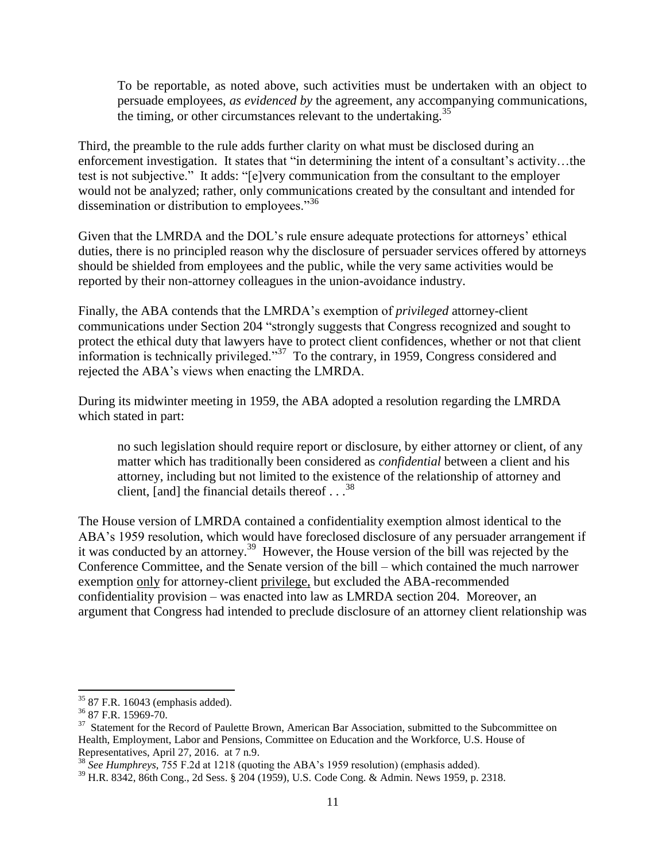To be reportable, as noted above, such activities must be undertaken with an object to persuade employees, *as evidenced by* the agreement, any accompanying communications, the timing, or other circumstances relevant to the undertaking. $35$ 

Third, the preamble to the rule adds further clarity on what must be disclosed during an enforcement investigation. It states that "in determining the intent of a consultant's activity…the test is not subjective." It adds: "[e]very communication from the consultant to the employer would not be analyzed; rather, only communications created by the consultant and intended for dissemination or distribution to employees."<sup>36</sup>

Given that the LMRDA and the DOL's rule ensure adequate protections for attorneys' ethical duties, there is no principled reason why the disclosure of persuader services offered by attorneys should be shielded from employees and the public, while the very same activities would be reported by their non-attorney colleagues in the union-avoidance industry.

Finally, the ABA contends that the LMRDA's exemption of *privileged* attorney-client communications under Section 204 "strongly suggests that Congress recognized and sought to protect the ethical duty that lawyers have to protect client confidences, whether or not that client information is technically privileged."<sup>37</sup> To the contrary, in 1959, Congress considered and rejected the ABA's views when enacting the LMRDA.

During its midwinter meeting in 1959, the ABA adopted a resolution regarding the LMRDA which stated in part:

no such legislation should require report or disclosure, by either attorney or client, of any matter which has traditionally been considered as *confidential* between a client and his attorney, including but not limited to the existence of the relationship of attorney and client, [and] the financial details thereof  $\ldots$ <sup>38</sup>

The House version of LMRDA contained a confidentiality exemption almost identical to the ABA's 1959 resolution, which would have foreclosed disclosure of any persuader arrangement if it was conducted by an attorney. 39 However, the House version of the bill was rejected by the Conference Committee, and the Senate version of the bill – which contained the much narrower exemption only for attorney-client privilege, but excluded the ABA-recommended confidentiality provision – was enacted into law as LMRDA section 204. Moreover, an argument that Congress had intended to preclude disclosure of an attorney client relationship was

 $\overline{\phantom{a}}$ 

<sup>35</sup> 87 F.R. 16043 (emphasis added).

<sup>36</sup> 87 F.R. 15969-70.

<sup>&</sup>lt;sup>37</sup> Statement for the Record of Paulette Brown, American Bar Association, submitted to the Subcommittee on Health, Employment, Labor and Pensions, Committee on Education and the Workforce, U.S. House of Representatives, April 27, 2016. at 7 n.9.

<sup>38</sup> *See Humphreys*, 755 F.2d at 1218 (quoting the ABA's 1959 resolution) (emphasis added).

<sup>39</sup> H.R. 8342, 86th Cong., 2d Sess. § 204 (1959), U.S. Code Cong. & Admin. News 1959, p. 2318.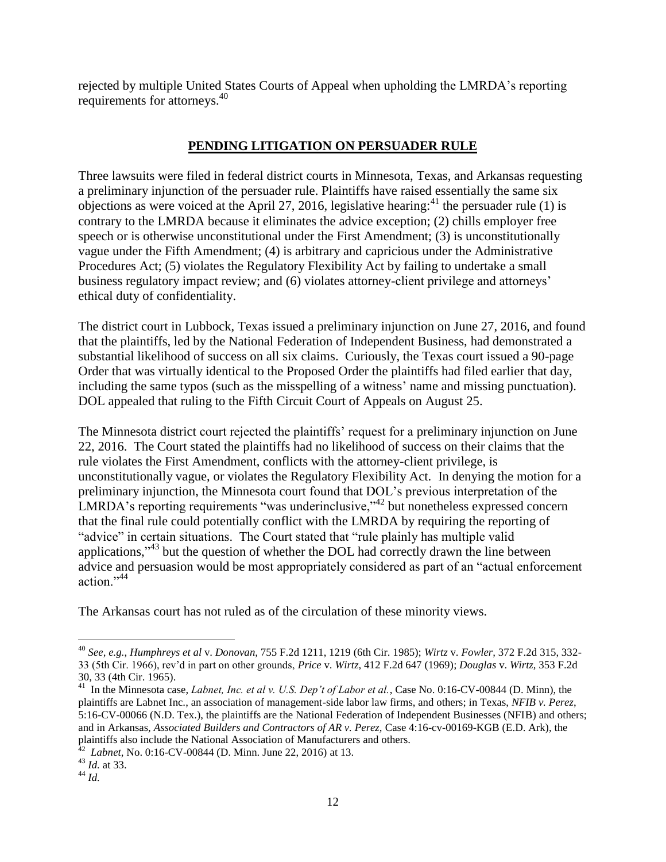rejected by multiple United States Courts of Appeal when upholding the LMRDA's reporting requirements for attorneys.<sup>40</sup>

# **PENDING LITIGATION ON PERSUADER RULE**

Three lawsuits were filed in federal district courts in Minnesota, Texas, and Arkansas requesting a preliminary injunction of the persuader rule. Plaintiffs have raised essentially the same six objections as were voiced at the April 27, 2016, legislative hearing:<sup>41</sup> the persuader rule (1) is contrary to the LMRDA because it eliminates the advice exception; (2) chills employer free speech or is otherwise unconstitutional under the First Amendment; (3) is unconstitutionally vague under the Fifth Amendment; (4) is arbitrary and capricious under the Administrative Procedures Act; (5) violates the Regulatory Flexibility Act by failing to undertake a small business regulatory impact review; and (6) violates attorney-client privilege and attorneys' ethical duty of confidentiality.

The district court in Lubbock, Texas issued a preliminary injunction on June 27, 2016, and found that the plaintiffs, led by the National Federation of Independent Business, had demonstrated a substantial likelihood of success on all six claims. Curiously, the Texas court issued a 90-page Order that was virtually identical to the Proposed Order the plaintiffs had filed earlier that day, including the same typos (such as the misspelling of a witness' name and missing punctuation). DOL appealed that ruling to the Fifth Circuit Court of Appeals on August 25.

The Minnesota district court rejected the plaintiffs' request for a preliminary injunction on June 22, 2016. The Court stated the plaintiffs had no likelihood of success on their claims that the rule violates the First Amendment, conflicts with the attorney-client privilege, is unconstitutionally vague, or violates the Regulatory Flexibility Act. In denying the motion for a preliminary injunction, the Minnesota court found that DOL's previous interpretation of the LMRDA's reporting requirements "was underinclusive,"<sup>42</sup> but nonetheless expressed concern that the final rule could potentially conflict with the LMRDA by requiring the reporting of "advice" in certain situations. The Court stated that "rule plainly has multiple valid applications,"<sup>43</sup> but the question of whether the DOL had correctly drawn the line between advice and persuasion would be most appropriately considered as part of an "actual enforcement action."<sup>44</sup>

The Arkansas court has not ruled as of the circulation of these minority views.

 $\overline{\phantom{a}}$ <sup>40</sup> *See, e.g.*, *Humphreys et al* v. *Donovan,* 755 F.2d 1211, 1219 (6th Cir. 1985); *Wirtz* v. *Fowler,* 372 F.2d 315, 332- 33 (5th Cir. 1966), rev'd in part on other grounds, *Price* v. *Wirtz,* 412 F.2d 647 (1969); *Douglas* v. *Wirtz,* 353 F.2d 30, 33 (4th Cir. 1965).

<sup>&</sup>lt;sup>41</sup> In the Minnesota case, *Labnet, Inc. et al v. U.S. Dep't of Labor et al.*, Case No. 0:16-CV-00844 (D. Minn), the plaintiffs are Labnet Inc., an association of management-side labor law firms, and others; in Texas, *NFIB v. Perez*, 5:16-CV-00066 (N.D. Tex.), the plaintiffs are the National Federation of Independent Businesses (NFIB) and others; and in Arkansas, *Associated Builders and Contractors of AR v. Perez,* Case 4:16-cv-00169-KGB (E.D. Ark), the plaintiffs also include the National Association of Manufacturers and others. 42 *Labnet,* No. 0:16-CV-00844 (D. Minn. June 22, 2016) at 13.

<sup>43</sup> *Id.* at 33.

<sup>44</sup> *Id.*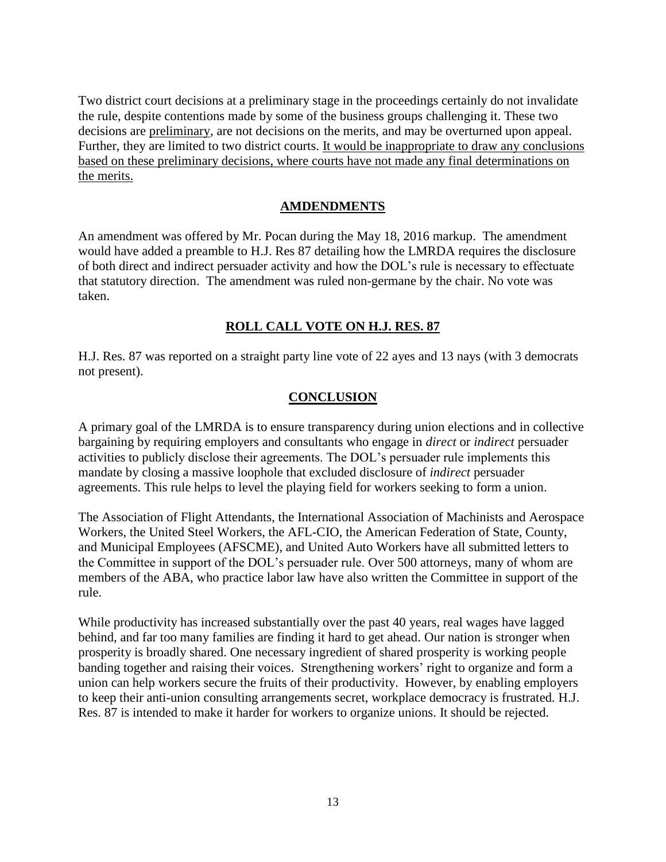Two district court decisions at a preliminary stage in the proceedings certainly do not invalidate the rule, despite contentions made by some of the business groups challenging it. These two decisions are preliminary, are not decisions on the merits, and may be overturned upon appeal. Further, they are limited to two district courts. It would be inappropriate to draw any conclusions based on these preliminary decisions, where courts have not made any final determinations on the merits.

#### **AMDENDMENTS**

An amendment was offered by Mr. Pocan during the May 18, 2016 markup. The amendment would have added a preamble to H.J. Res 87 detailing how the LMRDA requires the disclosure of both direct and indirect persuader activity and how the DOL's rule is necessary to effectuate that statutory direction. The amendment was ruled non-germane by the chair. No vote was taken.

#### **ROLL CALL VOTE ON H.J. RES. 87**

H.J. Res. 87 was reported on a straight party line vote of 22 ayes and 13 nays (with 3 democrats not present).

#### **CONCLUSION**

A primary goal of the LMRDA is to ensure transparency during union elections and in collective bargaining by requiring employers and consultants who engage in *direct* or *indirect* persuader activities to publicly disclose their agreements. The DOL's persuader rule implements this mandate by closing a massive loophole that excluded disclosure of *indirect* persuader agreements. This rule helps to level the playing field for workers seeking to form a union.

The Association of Flight Attendants, the International Association of Machinists and Aerospace Workers, the United Steel Workers, the AFL-CIO, the American Federation of State, County, and Municipal Employees (AFSCME), and United Auto Workers have all submitted letters to the Committee in support of the DOL's persuader rule. Over 500 attorneys, many of whom are members of the ABA, who practice labor law have also written the Committee in support of the rule.

While productivity has increased substantially over the past 40 years, real wages have lagged behind, and far too many families are finding it hard to get ahead. Our nation is stronger when prosperity is broadly shared. One necessary ingredient of shared prosperity is working people banding together and raising their voices. Strengthening workers' right to organize and form a union can help workers secure the fruits of their productivity. However, by enabling employers to keep their anti-union consulting arrangements secret, workplace democracy is frustrated. H.J. Res. 87 is intended to make it harder for workers to organize unions. It should be rejected.